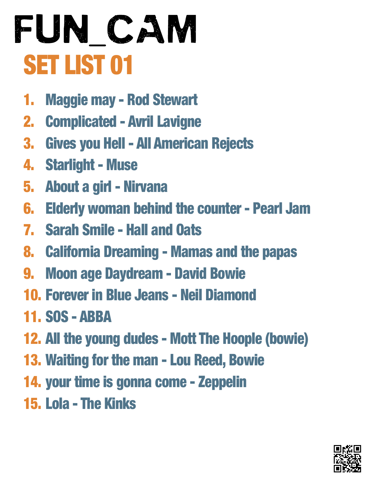- 1. Maggie may Rod Stewart
- 2. Complicated Avril Lavigne
- 3. Gives you Hell All American Rejects
- 4. Starlight Muse
- 5. About a girl Nirvana
- 6. Elderly woman behind the counter Pearl Jam
- 7. Sarah Smile Hall and Oats
- 8. California Dreaming Mamas and the papas
- 9. Moon age Daydream David Bowie
- 10. Forever in Blue Jeans Neil Diamond
- 11. SOS ABBA
- 12. All the young dudes Mott The Hoople (bowie)
- 13. Waiting for the man Lou Reed, Bowie
- 14. your time is gonna come Zeppelin
- 15. Lola The Kinks

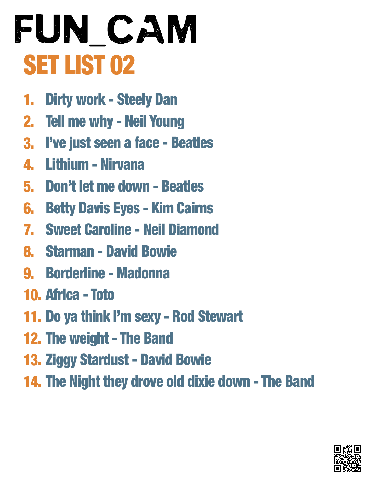- 1. Dirty work - Steely Dan
- 2. Tell me why - Neil Young
- 3. I've just seen a face - Beatles
- 4. Lithium Nirvana
- 5. Don't let me down Beatles
- 6. Betty Davis Eyes Kim Cairns
- 7. Sweet Caroline Neil Diamond
- 8. Starman David Bowie
- 9. Borderline Madonna
- 10. Africa Toto
- 11. Do ya think I'm sexy Rod Stewart
- 12. The weight The Band
- 13. Ziggy Stardust David Bowie
- 14. The Night they drove old dixie down The Band

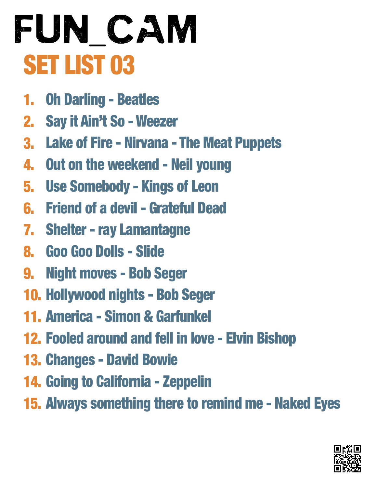- 1. Oh Darling - Beatles
- 2. Say it Ain't So - Weezer
- 3. Lake of Fire Nirvana The Meat Puppets
- 4. Out on the weekend - Neil young
- 5. Use Somebody Kings of Leon
- 6. Friend of a devil Grateful Dead
- 7. Shelter ray Lamantagne
- 8. Goo Goo Dolls Slide
- 9. Night moves Bob Seger
- 10. Hollywood nights Bob Seger
- 11. America Simon & Garfunkel
- 12. Fooled around and fell in love Elvin Bishop
- 13. Changes David Bowie
- 14. Going to California Zeppelin
- 15. Always something there to remind me Naked Eyes

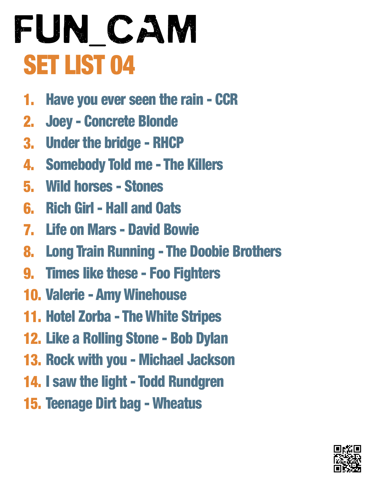- 1. Have you ever seen the rain - CCR
- 2. Joey - Concrete Blonde
- 3. Under the bridge RHCP
- 4. Somebody Told me The Killers
- 5. Wild horses Stones
- 6. Rich Girl Hall and Oats
- 7. Life on Mars David Bowie
- 8. Long Train Running - The Doobie Brothers
- 9. Times like these Foo Fighters
- 10. Valerie Amy Winehouse
- 11. Hotel Zorba The White Stripes
- 12. Like a Rolling Stone Bob Dylan
- 13. Rock with you Michael Jackson
- 14. I saw the light Todd Rundgren
- 15. Teenage Dirt bag Wheatus

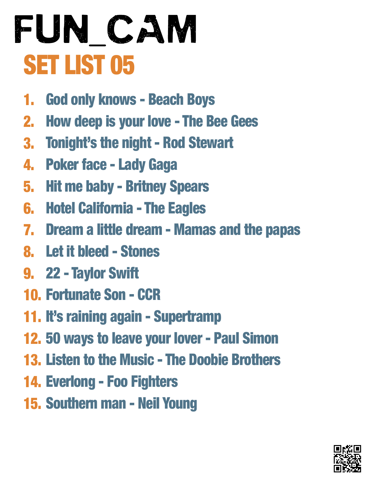- 1. God only knows - Beach Boys
- 2. How deep is your love - The Bee Gees
- 3. Tonight's the night Rod Stewart
- 4. Poker face - Lady Gaga
- 5. Hit me baby Britney Spears
- 6. Hotel California The Eagles
- 7. Dream a little dream Mamas and the papas
- 8. Let it bleed Stones
- 9. 22 Taylor Swift
- 10. Fortunate Son CCR
- 11. It's raining again Supertramp
- 12. 50 ways to leave your lover Paul Simon
- 13. Listen to the Music The Doobie Brothers
- 14. Everlong Foo Fighters
- 15. Southern man Neil Young

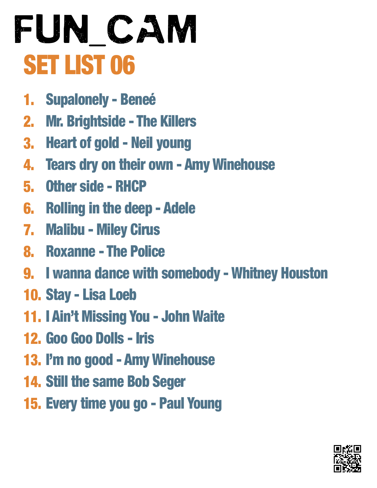- 1. Supalonely - Beneé
- 2. Mr. Brightside - The Killers
- 3. Heart of gold Neil young
- 4. Tears dry on their own - Amy Winehouse
- 5. Other side RHCP
- 6. Rolling in the deep Adele
- 7. Malibu Miley Cirus
- 8. Roxanne The Police
- 9. I wanna dance with somebody Whitney Houston
- 10. Stay Lisa Loeb
- 11. I Ain't Missing You John Waite
- 12. Goo Goo Dolls Iris
- 13. I'm no good Amy Winehouse
- 14. Still the same Bob Seger
- 15. Every time you go Paul Young